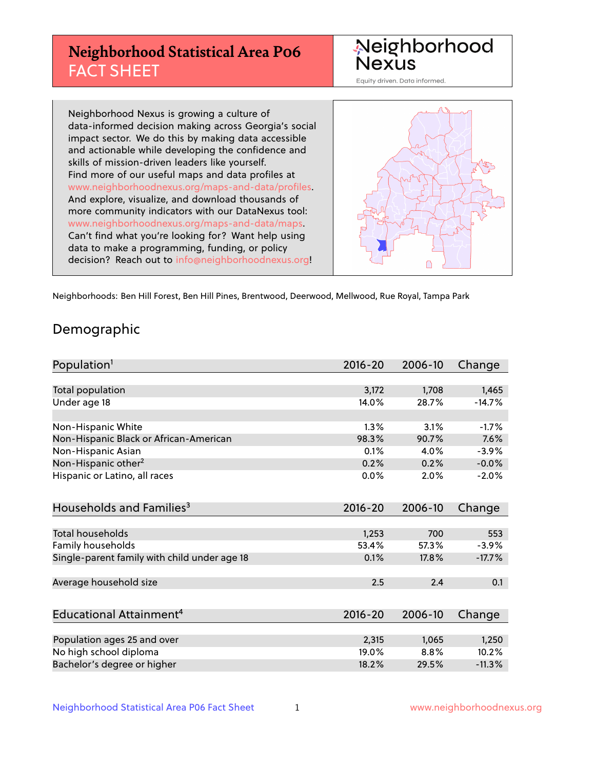# **Neighborhood Statistical Area P06** FACT SHEET



Equity driven. Data informed.

Neighborhood Nexus is growing a culture of data-informed decision making across Georgia's social impact sector. We do this by making data accessible and actionable while developing the confidence and skills of mission-driven leaders like yourself. Find more of our useful maps and data profiles at www.neighborhoodnexus.org/maps-and-data/profiles. And explore, visualize, and download thousands of more community indicators with our DataNexus tool: www.neighborhoodnexus.org/maps-and-data/maps. Can't find what you're looking for? Want help using data to make a programming, funding, or policy decision? Reach out to [info@neighborhoodnexus.org!](mailto:info@neighborhoodnexus.org)



Neighborhoods: Ben Hill Forest, Ben Hill Pines, Brentwood, Deerwood, Mellwood, Rue Royal, Tampa Park

#### Demographic

| Population <sup>1</sup>                      | $2016 - 20$ | 2006-10 | Change   |
|----------------------------------------------|-------------|---------|----------|
|                                              |             |         |          |
| <b>Total population</b>                      | 3,172       | 1,708   | 1,465    |
| Under age 18                                 | 14.0%       | 28.7%   | $-14.7%$ |
|                                              |             |         |          |
| Non-Hispanic White                           | 1.3%        | 3.1%    | $-1.7%$  |
| Non-Hispanic Black or African-American       | 98.3%       | 90.7%   | 7.6%     |
| Non-Hispanic Asian                           | 0.1%        | 4.0%    | $-3.9%$  |
| Non-Hispanic other <sup>2</sup>              | 0.2%        | 0.2%    | $-0.0%$  |
| Hispanic or Latino, all races                | 0.0%        | 2.0%    | $-2.0%$  |
| Households and Families <sup>3</sup>         | $2016 - 20$ | 2006-10 | Change   |
|                                              |             |         |          |
| Total households                             | 1,253       | 700     | 553      |
| Family households                            | 53.4%       | 57.3%   | $-3.9%$  |
| Single-parent family with child under age 18 | 0.1%        | 17.8%   | $-17.7%$ |
| Average household size                       | 2.5         | 2.4     | 0.1      |
|                                              |             |         |          |
| Educational Attainment <sup>4</sup>          | $2016 - 20$ | 2006-10 | Change   |
|                                              |             |         |          |
| Population ages 25 and over                  | 2,315       | 1,065   | 1,250    |
| No high school diploma                       | 19.0%       | 8.8%    | 10.2%    |
| Bachelor's degree or higher                  | 18.2%       | 29.5%   | $-11.3%$ |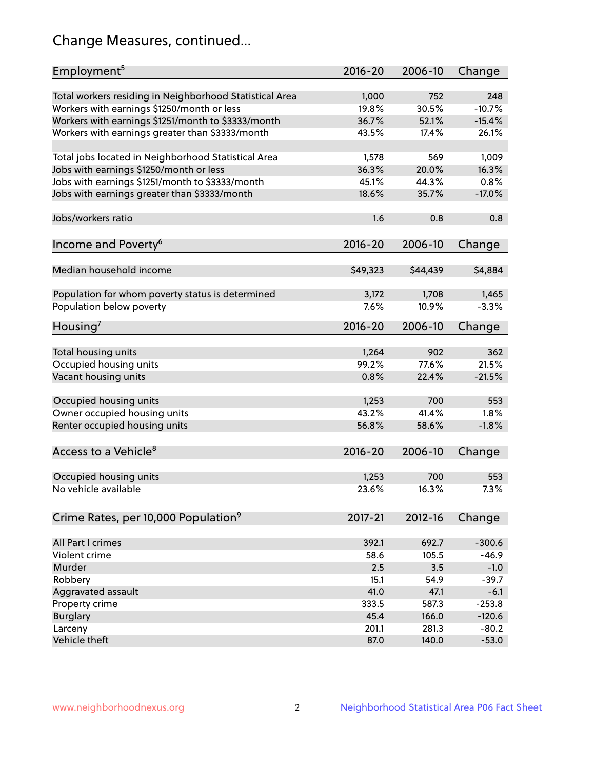# Change Measures, continued...

| Employment <sup>5</sup>                                                                          | $2016 - 20$ | 2006-10      | Change   |
|--------------------------------------------------------------------------------------------------|-------------|--------------|----------|
|                                                                                                  | 1,000       |              | 248      |
| Total workers residing in Neighborhood Statistical Area                                          | 19.8%       | 752<br>30.5% | $-10.7%$ |
| Workers with earnings \$1250/month or less<br>Workers with earnings \$1251/month to \$3333/month | 36.7%       | 52.1%        | $-15.4%$ |
| Workers with earnings greater than \$3333/month                                                  | 43.5%       | 17.4%        | 26.1%    |
|                                                                                                  |             |              |          |
| Total jobs located in Neighborhood Statistical Area                                              | 1,578       | 569          | 1,009    |
| Jobs with earnings \$1250/month or less                                                          | 36.3%       | 20.0%        | 16.3%    |
| Jobs with earnings \$1251/month to \$3333/month                                                  | 45.1%       | 44.3%        | 0.8%     |
| Jobs with earnings greater than \$3333/month                                                     | 18.6%       | 35.7%        | $-17.0%$ |
|                                                                                                  |             |              |          |
| Jobs/workers ratio                                                                               | 1.6         | 0.8          | 0.8      |
|                                                                                                  |             |              |          |
| Income and Poverty <sup>6</sup>                                                                  | 2016-20     | 2006-10      | Change   |
|                                                                                                  |             |              |          |
| Median household income                                                                          | \$49,323    | \$44,439     | \$4,884  |
|                                                                                                  |             |              |          |
| Population for whom poverty status is determined                                                 | 3,172       | 1,708        | 1,465    |
| Population below poverty                                                                         | 7.6%        | 10.9%        | $-3.3%$  |
|                                                                                                  |             |              |          |
| Housing'                                                                                         | 2016-20     | 2006-10      | Change   |
|                                                                                                  |             |              |          |
| Total housing units                                                                              | 1,264       | 902          | 362      |
| Occupied housing units                                                                           | 99.2%       | 77.6%        | 21.5%    |
| Vacant housing units                                                                             | 0.8%        | 22.4%        | $-21.5%$ |
|                                                                                                  |             |              |          |
| Occupied housing units                                                                           | 1,253       | 700          | 553      |
| Owner occupied housing units                                                                     | 43.2%       | 41.4%        | 1.8%     |
| Renter occupied housing units                                                                    | 56.8%       | 58.6%        | $-1.8%$  |
|                                                                                                  |             |              |          |
| Access to a Vehicle <sup>8</sup>                                                                 | $2016 - 20$ | 2006-10      | Change   |
|                                                                                                  |             |              |          |
| Occupied housing units                                                                           | 1,253       | 700          | 553      |
| No vehicle available                                                                             | 23.6%       | 16.3%        | 7.3%     |
|                                                                                                  |             |              |          |
| Crime Rates, per 10,000 Population <sup>9</sup>                                                  | 2017-21     | 2012-16      | Change   |
|                                                                                                  |             |              |          |
| All Part I crimes                                                                                | 392.1       | 692.7        | $-300.6$ |
| Violent crime                                                                                    | 58.6        | 105.5        | $-46.9$  |
| Murder                                                                                           | 2.5         | 3.5          | $-1.0$   |
| Robbery                                                                                          | 15.1        | 54.9         | $-39.7$  |
| Aggravated assault                                                                               | 41.0        | 47.1         | $-6.1$   |
| Property crime                                                                                   | 333.5       | 587.3        | $-253.8$ |
| <b>Burglary</b>                                                                                  | 45.4        | 166.0        | $-120.6$ |
| Larceny                                                                                          | 201.1       | 281.3        | $-80.2$  |
| Vehicle theft                                                                                    | 87.0        | 140.0        | $-53.0$  |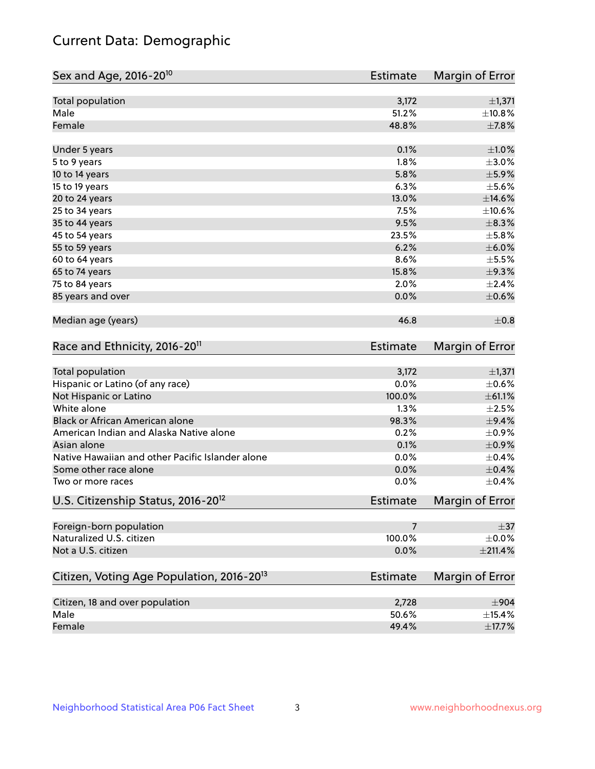# Current Data: Demographic

| Sex and Age, 2016-20 <sup>10</sup>                    | Estimate        | Margin of Error        |
|-------------------------------------------------------|-----------------|------------------------|
| Total population                                      | 3,172           | ±1,371                 |
| Male                                                  | 51.2%           | ±10.8%                 |
| Female                                                | 48.8%           | $\pm$ 7.8%             |
| Under 5 years                                         | 0.1%            | $\pm 1.0\%$            |
| 5 to 9 years                                          | 1.8%            | $\pm 3.0\%$            |
| 10 to 14 years                                        | 5.8%            | $\pm$ 5.9%             |
| 15 to 19 years                                        | 6.3%            | $\pm$ 5.6%             |
| 20 to 24 years                                        | 13.0%           | $\pm$ 14.6%            |
| 25 to 34 years                                        | 7.5%            | ±10.6%                 |
| 35 to 44 years                                        | 9.5%            | $\pm$ 8.3%             |
| 45 to 54 years                                        | 23.5%           | $\pm$ 5.8%             |
| 55 to 59 years                                        | 6.2%            | $\pm$ 6.0%             |
| 60 to 64 years                                        | 8.6%            | $\pm$ 5.5%             |
| 65 to 74 years                                        | 15.8%           | $\pm$ 9.3%             |
| 75 to 84 years                                        | 2.0%            | $\pm 2.4\%$            |
| 85 years and over                                     | 0.0%            | $\pm$ 0.6%             |
| Median age (years)                                    | 46.8            | $\pm$ 0.8              |
| Race and Ethnicity, 2016-20 <sup>11</sup>             | <b>Estimate</b> | Margin of Error        |
| Total population                                      | 3,172           | ±1,371                 |
| Hispanic or Latino (of any race)                      | 0.0%            | $\pm$ 0.6%             |
| Not Hispanic or Latino                                | 100.0%          | ± 61.1%                |
| White alone                                           | 1.3%            | $\pm 2.5\%$            |
| Black or African American alone                       | 98.3%           | $\pm$ 9.4%             |
| American Indian and Alaska Native alone               | 0.2%            | $\pm$ 0.9%             |
| Asian alone                                           | 0.1%            | $\pm$ 0.9%             |
| Native Hawaiian and other Pacific Islander alone      | 0.0%            | $\pm$ 0.4%             |
| Some other race alone                                 | 0.0%            | $\pm$ 0.4%             |
| Two or more races                                     | 0.0%            | $\pm$ 0.4%             |
| U.S. Citizenship Status, 2016-20 <sup>12</sup>        | <b>Estimate</b> | <b>Margin of Error</b> |
| Foreign-born population                               | 7               | $\pm$ 37               |
| Naturalized U.S. citizen                              | 100.0%          | $\pm$ 0.0%             |
| Not a U.S. citizen                                    | 0.0%            | ±211.4%                |
| Citizen, Voting Age Population, 2016-20 <sup>13</sup> | <b>Estimate</b> | Margin of Error        |
| Citizen, 18 and over population                       | 2,728           | $\pm$ 904              |
| Male                                                  | 50.6%           | ±15.4%                 |
| Female                                                | 49.4%           | $\pm$ 17.7%            |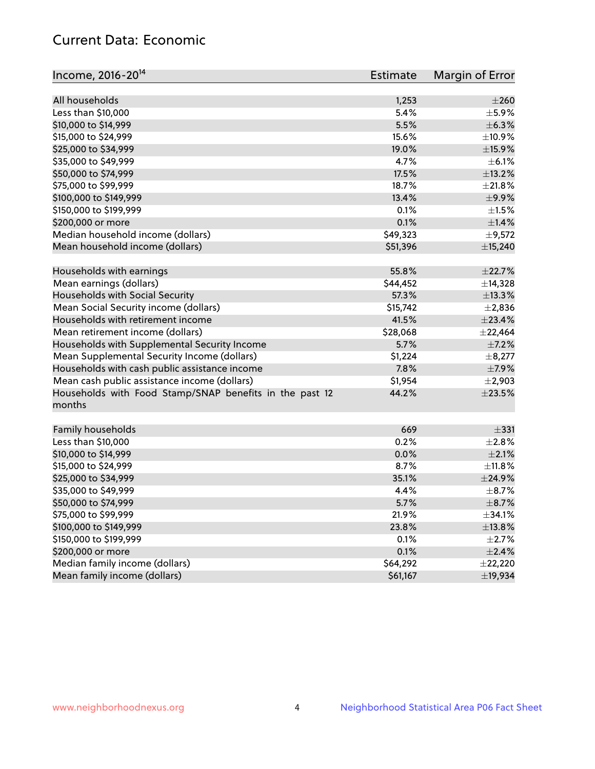### Current Data: Economic

| Income, 2016-20 <sup>14</sup>                                     | <b>Estimate</b> | Margin of Error |
|-------------------------------------------------------------------|-----------------|-----------------|
| All households                                                    | 1,253           | $\pm 260$       |
| Less than \$10,000                                                | 5.4%            | $\pm$ 5.9%      |
| \$10,000 to \$14,999                                              | 5.5%            | $\pm$ 6.3%      |
| \$15,000 to \$24,999                                              | 15.6%           | ±10.9%          |
| \$25,000 to \$34,999                                              | 19.0%           | $\pm$ 15.9%     |
| \$35,000 to \$49,999                                              | 4.7%            | $\pm$ 6.1%      |
| \$50,000 to \$74,999                                              | 17.5%           | ±13.2%          |
| \$75,000 to \$99,999                                              | 18.7%           | ±21.8%          |
| \$100,000 to \$149,999                                            | 13.4%           | ±9.9%           |
| \$150,000 to \$199,999                                            | 0.1%            | $\pm 1.5\%$     |
| \$200,000 or more                                                 | 0.1%            | ±1.4%           |
| Median household income (dollars)                                 | \$49,323        | $\pm$ 9,572     |
| Mean household income (dollars)                                   | \$51,396        | ±15,240         |
|                                                                   |                 |                 |
| Households with earnings                                          | 55.8%           | ±22.7%          |
| Mean earnings (dollars)                                           | \$44,452        | ±14,328         |
| Households with Social Security                                   | 57.3%           | ±13.3%          |
| Mean Social Security income (dollars)                             | \$15,742        | $\pm 2,836$     |
| Households with retirement income                                 | 41.5%           | $\pm 23.4\%$    |
| Mean retirement income (dollars)                                  | \$28,068        | ±22,464         |
| Households with Supplemental Security Income                      | 5.7%            | $\pm$ 7.2%      |
| Mean Supplemental Security Income (dollars)                       | \$1,224         | $\pm$ 8,277     |
| Households with cash public assistance income                     | 7.8%            | $\pm$ 7.9%      |
| Mean cash public assistance income (dollars)                      | \$1,954         | $\pm 2,903$     |
| Households with Food Stamp/SNAP benefits in the past 12<br>months | 44.2%           | $\pm 23.5\%$    |
| Family households                                                 | 669             | $\pm$ 331       |
| Less than \$10,000                                                | 0.2%            | ±2.8%           |
| \$10,000 to \$14,999                                              | 0.0%            | $\pm 2.1\%$     |
| \$15,000 to \$24,999                                              | 8.7%            | $\pm$ 11.8%     |
| \$25,000 to \$34,999                                              | 35.1%           | ±24.9%          |
| \$35,000 to \$49,999                                              | 4.4%            | $\pm$ 8.7%      |
| \$50,000 to \$74,999                                              | 5.7%            | $\pm$ 8.7%      |
| \$75,000 to \$99,999                                              | 21.9%           | ±34.1%          |
| \$100,000 to \$149,999                                            | 23.8%           | ±13.8%          |
| \$150,000 to \$199,999                                            | 0.1%            | $\pm 2.7\%$     |
| \$200,000 or more                                                 | 0.1%            | $\pm 2.4\%$     |
| Median family income (dollars)                                    | \$64,292        | ±22,220         |
| Mean family income (dollars)                                      | \$61,167        | ±19,934         |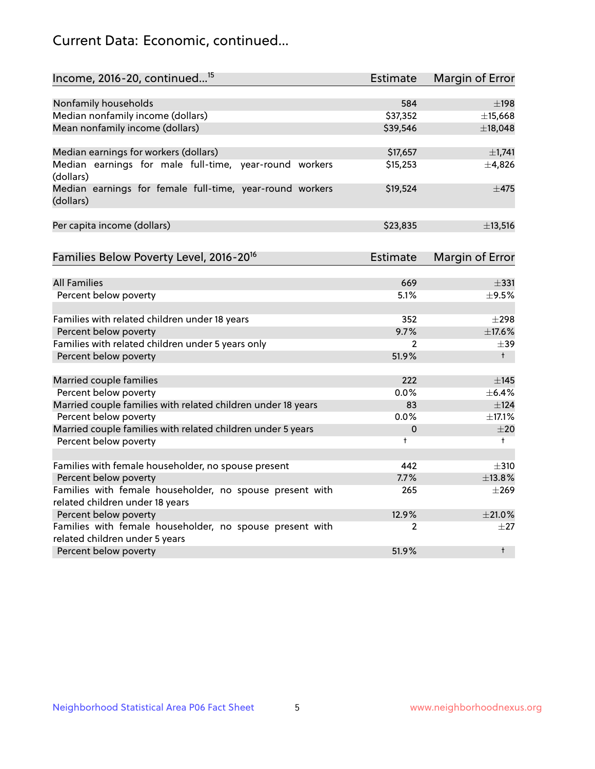# Current Data: Economic, continued...

| Income, 2016-20, continued <sup>15</sup>                              | <b>Estimate</b> | Margin of Error        |
|-----------------------------------------------------------------------|-----------------|------------------------|
|                                                                       |                 |                        |
| Nonfamily households                                                  | 584             | $\pm$ 198              |
| Median nonfamily income (dollars)                                     | \$37,352        | ±15,668                |
| Mean nonfamily income (dollars)                                       | \$39,546        | ±18,048                |
| Median earnings for workers (dollars)                                 | \$17,657        | ±1,741                 |
| Median earnings for male full-time, year-round workers                | \$15,253        | ±4,826                 |
| (dollars)                                                             |                 |                        |
| Median earnings for female full-time, year-round workers<br>(dollars) | \$19,524        | $\pm$ 475              |
| Per capita income (dollars)                                           | \$23,835        | ±13,516                |
|                                                                       |                 |                        |
| Families Below Poverty Level, 2016-20 <sup>16</sup>                   | Estimate        | <b>Margin of Error</b> |
| <b>All Families</b>                                                   | 669             | $\pm$ 331              |
| Percent below poverty                                                 | 5.1%            | $\pm$ 9.5%             |
|                                                                       |                 |                        |
| Families with related children under 18 years                         | 352             | $\pm 298$              |
| Percent below poverty                                                 | 9.7%            | ±17.6%                 |
| Families with related children under 5 years only                     | $\overline{2}$  | $\pm$ 39               |
| Percent below poverty                                                 | 51.9%           | $+$                    |
| Married couple families                                               | 222             | $\pm$ 145              |
| Percent below poverty                                                 | 0.0%            | ±6.4%                  |
| Married couple families with related children under 18 years          | 83              | ±124                   |
| Percent below poverty                                                 | $0.0\%$         | ±17.1%                 |
| Married couple families with related children under 5 years           | 0               | ±20                    |
| Percent below poverty                                                 | $\ddagger$      | $^+$                   |
|                                                                       |                 |                        |
| Families with female householder, no spouse present                   | 442             | $\pm$ 310              |
| Percent below poverty                                                 | 7.7%            | ±13.8%                 |
| Families with female householder, no spouse present with              | 265             | $\pm 269$              |
| related children under 18 years                                       |                 |                        |
| Percent below poverty                                                 | 12.9%           | $\pm 21.0\%$           |
| Families with female householder, no spouse present with              | 2               | $\pm 27$               |
| related children under 5 years                                        | 51.9%           | $^{\dagger}$           |
| Percent below poverty                                                 |                 |                        |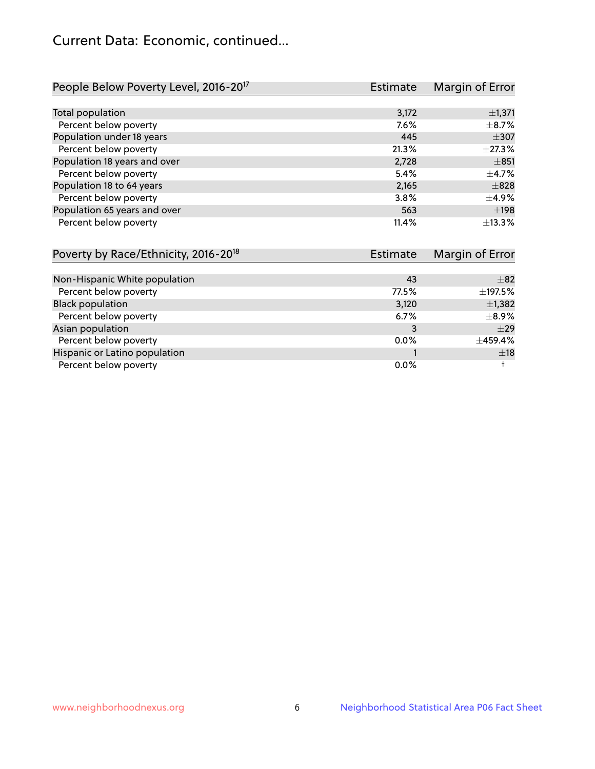# Current Data: Economic, continued...

| People Below Poverty Level, 2016-20 <sup>17</sup> | <b>Estimate</b> | Margin of Error |
|---------------------------------------------------|-----------------|-----------------|
|                                                   |                 |                 |
| Total population                                  | 3,172           | $\pm$ 1,371     |
| Percent below poverty                             | 7.6%            | $\pm$ 8.7%      |
| Population under 18 years                         | 445             | $\pm$ 307       |
| Percent below poverty                             | 21.3%           | ±27.3%          |
| Population 18 years and over                      | 2,728           | ±851            |
| Percent below poverty                             | 5.4%            | $\pm$ 4.7%      |
| Population 18 to 64 years                         | 2,165           | $\pm$ 828       |
| Percent below poverty                             | 3.8%            | $\pm$ 4.9%      |
| Population 65 years and over                      | 563             | ±198            |
| Percent below poverty                             | 11.4%           | ±13.3%          |

| Poverty by Race/Ethnicity, 2016-20 <sup>18</sup><br><b>Estimate</b> |         | Margin of Error |
|---------------------------------------------------------------------|---------|-----------------|
|                                                                     |         |                 |
| Non-Hispanic White population                                       | 43      | $\pm$ 82        |
| Percent below poverty                                               | 77.5%   | ±197.5%         |
| <b>Black population</b>                                             | 3,120   | $\pm$ 1,382     |
| Percent below poverty                                               | 6.7%    | $\pm$ 8.9%      |
| Asian population                                                    | 3       | $\pm 29$        |
| Percent below poverty                                               | $0.0\%$ | ±459.4%         |
| Hispanic or Latino population                                       |         | ±18             |
| Percent below poverty                                               | $0.0\%$ |                 |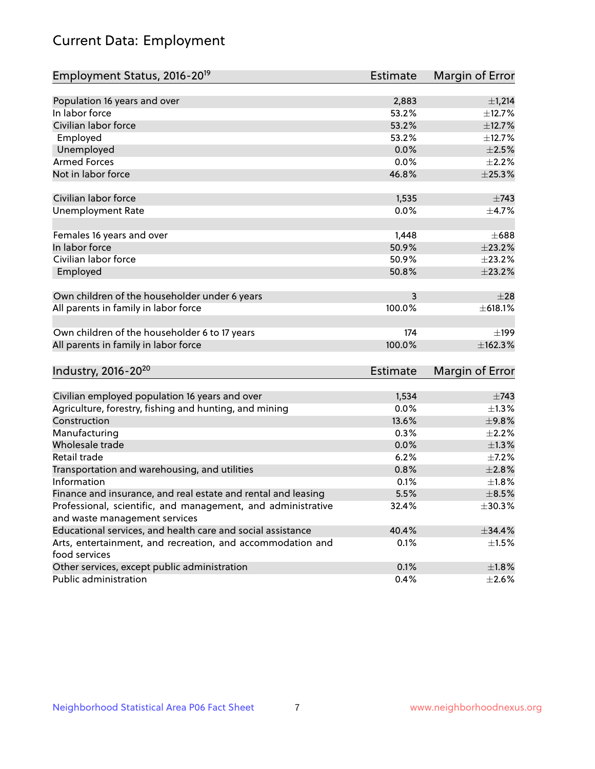# Current Data: Employment

| Employment Status, 2016-20 <sup>19</sup>                                    | <b>Estimate</b> | Margin of Error |
|-----------------------------------------------------------------------------|-----------------|-----------------|
|                                                                             |                 |                 |
| Population 16 years and over                                                | 2,883           | ±1,214          |
| In labor force                                                              | 53.2%           | ±12.7%          |
| Civilian labor force                                                        | 53.2%           | ±12.7%          |
| Employed                                                                    | 53.2%           | ±12.7%          |
| Unemployed                                                                  | 0.0%            | $\pm 2.5\%$     |
| <b>Armed Forces</b>                                                         | 0.0%            | $\pm 2.2\%$     |
| Not in labor force                                                          | 46.8%           | ±25.3%          |
| Civilian labor force                                                        | 1,535           | $\pm 743$       |
| <b>Unemployment Rate</b>                                                    | 0.0%            | $\pm$ 4.7%      |
| Females 16 years and over                                                   | 1,448           | $\pm 688$       |
| In labor force                                                              | 50.9%           | ±23.2%          |
| Civilian labor force                                                        | 50.9%           | ±23.2%          |
| Employed                                                                    | 50.8%           | ±23.2%          |
| Own children of the householder under 6 years                               | 3               | $+28$           |
| All parents in family in labor force                                        | 100.0%          | ±618.1%         |
|                                                                             |                 |                 |
| Own children of the householder 6 to 17 years                               | 174             | ±199            |
| All parents in family in labor force                                        | 100.0%          | ±162.3%         |
| Industry, 2016-20 <sup>20</sup>                                             | <b>Estimate</b> | Margin of Error |
|                                                                             |                 |                 |
| Civilian employed population 16 years and over                              | 1,534           | $\pm 743$       |
| Agriculture, forestry, fishing and hunting, and mining                      | 0.0%            | $\pm 1.3\%$     |
| Construction                                                                | 13.6%           | ±9.8%           |
| Manufacturing                                                               | 0.3%            | $\pm 2.2\%$     |
| Wholesale trade                                                             | 0.0%            | $\pm 1.3\%$     |
| Retail trade                                                                | 6.2%            | $\pm$ 7.2%      |
| Transportation and warehousing, and utilities                               | 0.8%            | ±2.8%           |
| Information                                                                 | 0.1%            | ±1.8%           |
| Finance and insurance, and real estate and rental and leasing               | 5.5%            | $\pm$ 8.5%      |
| Professional, scientific, and management, and administrative                | 32.4%           | ±30.3%          |
| and waste management services                                               |                 |                 |
| Educational services, and health care and social assistance                 | 40.4%           | $\pm$ 34.4%     |
| Arts, entertainment, and recreation, and accommodation and<br>food services | 0.1%            | $\pm 1.5\%$     |
| Other services, except public administration                                | 0.1%            | $\pm 1.8\%$     |
| Public administration                                                       | 0.4%            | $\pm 2.6\%$     |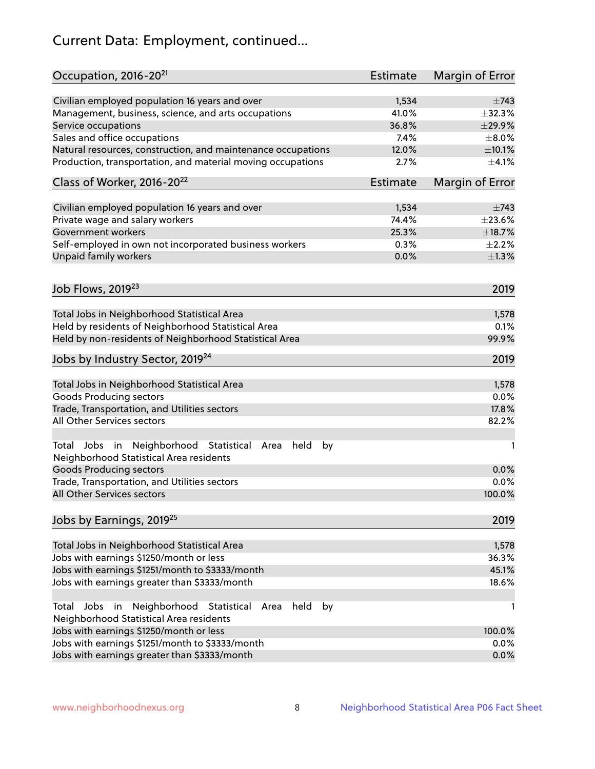# Current Data: Employment, continued...

| Occupation, 2016-20 <sup>21</sup>                                                                       | <b>Estimate</b> | Margin of Error |
|---------------------------------------------------------------------------------------------------------|-----------------|-----------------|
| Civilian employed population 16 years and over                                                          | 1,534           | $\pm 743$       |
| Management, business, science, and arts occupations                                                     | 41.0%           | ±32.3%          |
| Service occupations                                                                                     | 36.8%           | ±29.9%          |
| Sales and office occupations                                                                            | 7.4%            | $\pm 8.0\%$     |
| Natural resources, construction, and maintenance occupations                                            | 12.0%           | $\pm$ 10.1%     |
| Production, transportation, and material moving occupations                                             | 2.7%            | $\pm 4.1\%$     |
| Class of Worker, 2016-20 <sup>22</sup>                                                                  | <b>Estimate</b> | Margin of Error |
| Civilian employed population 16 years and over                                                          | 1,534           | $\pm$ 743       |
| Private wage and salary workers                                                                         | 74.4%           | ±23.6%          |
| Government workers                                                                                      | 25.3%           | ±18.7%          |
| Self-employed in own not incorporated business workers                                                  | 0.3%            | $\pm 2.2\%$     |
| Unpaid family workers                                                                                   | 0.0%            | $\pm 1.3\%$     |
| Job Flows, 2019 <sup>23</sup>                                                                           |                 | 2019            |
|                                                                                                         |                 |                 |
| Total Jobs in Neighborhood Statistical Area                                                             |                 | 1,578           |
| Held by residents of Neighborhood Statistical Area                                                      |                 | 0.1%            |
| Held by non-residents of Neighborhood Statistical Area                                                  |                 | 99.9%           |
| Jobs by Industry Sector, 2019 <sup>24</sup>                                                             |                 | 2019            |
| Total Jobs in Neighborhood Statistical Area                                                             |                 | 1,578           |
| <b>Goods Producing sectors</b>                                                                          |                 | 0.0%            |
| Trade, Transportation, and Utilities sectors                                                            |                 | 17.8%           |
| All Other Services sectors                                                                              |                 | 82.2%           |
| Total Jobs in Neighborhood Statistical<br>held<br>by<br>Area<br>Neighborhood Statistical Area residents |                 | 1               |
| <b>Goods Producing sectors</b>                                                                          |                 | 0.0%            |
| Trade, Transportation, and Utilities sectors                                                            |                 | 0.0%            |
| All Other Services sectors                                                                              |                 | 100.0%          |
| Jobs by Earnings, 2019 <sup>25</sup>                                                                    |                 | 2019            |
| Total Jobs in Neighborhood Statistical Area                                                             |                 | 1,578           |
| Jobs with earnings \$1250/month or less                                                                 |                 | 36.3%           |
| Jobs with earnings \$1251/month to \$3333/month                                                         |                 | 45.1%           |
| Jobs with earnings greater than \$3333/month                                                            |                 | 18.6%           |
| Neighborhood Statistical<br>Jobs<br>in<br>held<br>by<br>Total<br>Area                                   |                 | 1               |
| Neighborhood Statistical Area residents                                                                 |                 |                 |
| Jobs with earnings \$1250/month or less                                                                 |                 | 100.0%          |
| Jobs with earnings \$1251/month to \$3333/month                                                         |                 | 0.0%            |
| Jobs with earnings greater than \$3333/month                                                            |                 | 0.0%            |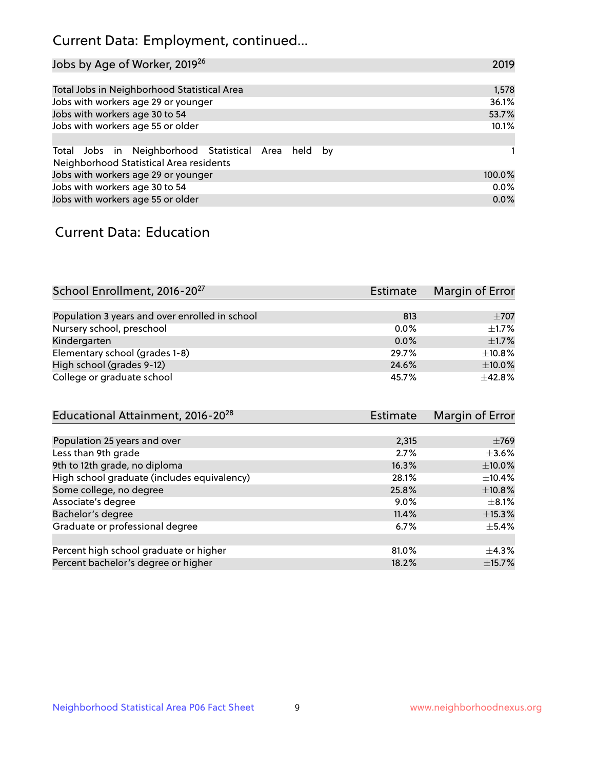# Current Data: Employment, continued...

| Jobs by Age of Worker, 2019 <sup>26</sup>                                                      | 2019   |
|------------------------------------------------------------------------------------------------|--------|
|                                                                                                |        |
| Total Jobs in Neighborhood Statistical Area                                                    | 1,578  |
| Jobs with workers age 29 or younger                                                            | 36.1%  |
| Jobs with workers age 30 to 54                                                                 | 53.7%  |
| Jobs with workers age 55 or older                                                              | 10.1%  |
|                                                                                                |        |
| Total Jobs in Neighborhood Statistical Area held by<br>Neighborhood Statistical Area residents |        |
| Jobs with workers age 29 or younger                                                            | 100.0% |
| Jobs with workers age 30 to 54                                                                 | 0.0%   |
| Jobs with workers age 55 or older                                                              | 0.0%   |

### Current Data: Education

| School Enrollment, 2016-20 <sup>27</sup>       | Estimate | Margin of Error |
|------------------------------------------------|----------|-----------------|
|                                                |          |                 |
| Population 3 years and over enrolled in school | 813      | $\pm$ 707       |
| Nursery school, preschool                      | $0.0\%$  | $\pm$ 1.7%      |
| Kindergarten                                   | $0.0\%$  | $\pm$ 1.7%      |
| Elementary school (grades 1-8)                 | 29.7%    | $\pm$ 10.8%     |
| High school (grades 9-12)                      | 24.6%    | $\pm$ 10.0%     |
| College or graduate school                     | 45.7%    | $+42.8%$        |
| $Educational Attiamont 2016-2028$              | Ectimato | Margin of Error |

| Luucationiai Attainnient, 2010-20           | LSUIIIQUE | <b>IVIALYILL VI LIIVI</b> |
|---------------------------------------------|-----------|---------------------------|
|                                             |           |                           |
| Population 25 years and over                | 2,315     | $\pm 769$                 |
| Less than 9th grade                         | 2.7%      | $\pm$ 3.6%                |
| 9th to 12th grade, no diploma               | 16.3%     | $\pm$ 10.0%               |
| High school graduate (includes equivalency) | 28.1%     | $\pm$ 10.4%               |
| Some college, no degree                     | 25.8%     | $\pm$ 10.8%               |
| Associate's degree                          | $9.0\%$   | $\pm$ 8.1%                |
| Bachelor's degree                           | 11.4%     | ±15.3%                    |
| Graduate or professional degree             | 6.7%      | $\pm$ 5.4%                |
|                                             |           |                           |
| Percent high school graduate or higher      | 81.0%     | $\pm$ 4.3%                |
| Percent bachelor's degree or higher         | 18.2%     | $\pm$ 15.7%               |
|                                             |           |                           |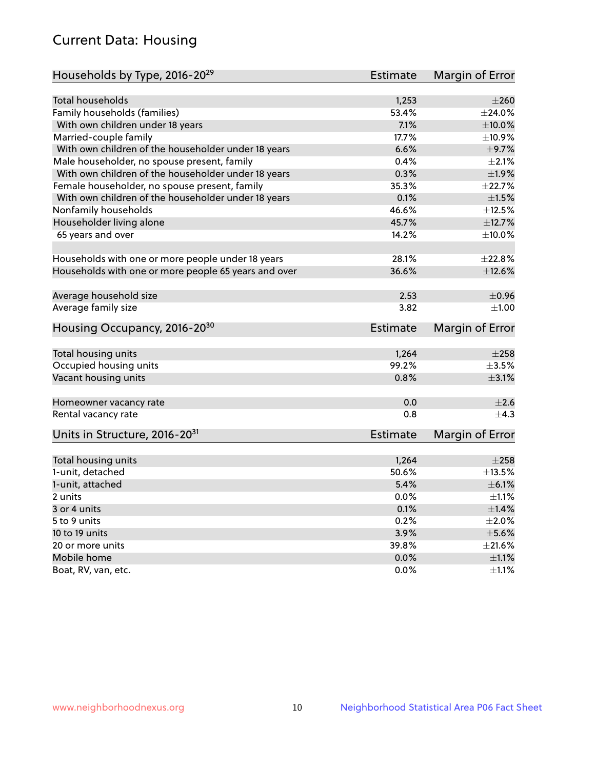# Current Data: Housing

| Households by Type, 2016-20 <sup>29</sup>            | <b>Estimate</b> | Margin of Error |
|------------------------------------------------------|-----------------|-----------------|
|                                                      |                 |                 |
| Total households                                     | 1,253           | $\pm 260$       |
| Family households (families)                         | 53.4%           | ±24.0%          |
| With own children under 18 years                     | 7.1%            | $\pm 10.0\%$    |
| Married-couple family                                | 17.7%           | ±10.9%          |
| With own children of the householder under 18 years  | 6.6%            | $\pm$ 9.7%      |
| Male householder, no spouse present, family          | 0.4%            | $\pm 2.1\%$     |
| With own children of the householder under 18 years  | 0.3%            | ±1.9%           |
| Female householder, no spouse present, family        | 35.3%           | ±22.7%          |
| With own children of the householder under 18 years  | 0.1%            | $\pm1.5\%$      |
| Nonfamily households                                 | 46.6%           | $\pm$ 12.5%     |
| Householder living alone                             | 45.7%           | ±12.7%          |
| 65 years and over                                    | 14.2%           | $\pm$ 10.0%     |
| Households with one or more people under 18 years    | 28.1%           | ±22.8%          |
|                                                      |                 |                 |
| Households with one or more people 65 years and over | 36.6%           | $\pm$ 12.6%     |
| Average household size                               | 2.53            | $\pm$ 0.96      |
| Average family size                                  | 3.82            | ±1.00           |
| Housing Occupancy, 2016-20 <sup>30</sup>             | <b>Estimate</b> | Margin of Error |
| Total housing units                                  | 1,264           | $\pm 258$       |
| Occupied housing units                               | 99.2%           | $\pm$ 3.5%      |
| Vacant housing units                                 | 0.8%            | $\pm$ 3.1%      |
|                                                      |                 |                 |
| Homeowner vacancy rate                               | 0.0             | $\pm 2.6$       |
| Rental vacancy rate                                  | 0.8             | $+4.3$          |
| Units in Structure, 2016-20 <sup>31</sup>            | Estimate        | Margin of Error |
|                                                      |                 | $\pm 258$       |
| Total housing units<br>1-unit, detached              | 1,264<br>50.6%  | $\pm$ 13.5%     |
|                                                      |                 |                 |
| 1-unit, attached                                     | 5.4%            | $\pm$ 6.1%      |
| 2 units                                              | 0.0%            | $\pm 1.1\%$     |
| 3 or 4 units                                         | 0.1%            | $\pm 1.4\%$     |
| 5 to 9 units                                         | 0.2%            | $\pm 2.0\%$     |
| 10 to 19 units                                       | 3.9%            | $\pm$ 5.6%      |
| 20 or more units                                     | 39.8%           | $\pm 21.6\%$    |
| Mobile home                                          | 0.0%            | $\pm$ 1.1%      |
| Boat, RV, van, etc.                                  | $0.0\%$         | $\pm 1.1\%$     |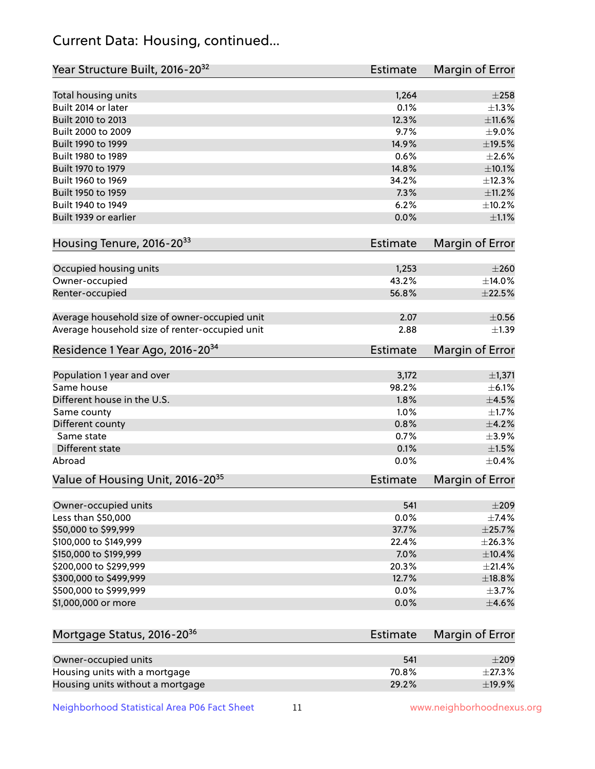# Current Data: Housing, continued...

| Year Structure Built, 2016-20 <sup>32</sup>    | <b>Estimate</b> | <b>Margin of Error</b> |
|------------------------------------------------|-----------------|------------------------|
| Total housing units                            | 1,264           | $\pm 258$              |
| Built 2014 or later                            | 0.1%            | ±1.3%                  |
| Built 2010 to 2013                             | 12.3%           | ±11.6%                 |
| Built 2000 to 2009                             | 9.7%            | $\pm$ 9.0%             |
| Built 1990 to 1999                             | 14.9%           | $\pm$ 19.5%            |
| Built 1980 to 1989                             | 0.6%            | $\pm 2.6\%$            |
| Built 1970 to 1979                             | 14.8%           | ±10.1%                 |
| Built 1960 to 1969                             | 34.2%           | ±12.3%                 |
| Built 1950 to 1959                             | 7.3%            | ±11.2%                 |
| Built 1940 to 1949                             | 6.2%            | ±10.2%                 |
| Built 1939 or earlier                          | 0.0%            | $\pm 1.1\%$            |
| Housing Tenure, 2016-2033                      | <b>Estimate</b> | Margin of Error        |
| Occupied housing units                         | 1,253           | $\pm 260$              |
| Owner-occupied                                 | 43.2%           | ±14.0%                 |
| Renter-occupied                                | 56.8%           | $\pm 22.5\%$           |
| Average household size of owner-occupied unit  | 2.07            | $\pm$ 0.56             |
| Average household size of renter-occupied unit | 2.88            | $\pm$ 1.39             |
| Residence 1 Year Ago, 2016-20 <sup>34</sup>    | <b>Estimate</b> | <b>Margin of Error</b> |
| Population 1 year and over                     | 3,172           | $\pm$ 1,371            |
| Same house                                     | 98.2%           | $\pm$ 6.1%             |
| Different house in the U.S.                    | 1.8%            | $\pm 4.5\%$            |
| Same county                                    | 1.0%            | $\pm1.7\%$             |
| Different county                               | 0.8%            | $\pm$ 4.2%             |
| Same state                                     | 0.7%            | $\pm$ 3.9%             |
| Different state                                | 0.1%            | $\pm1.5\%$             |
| Abroad                                         | 0.0%            | $\pm$ 0.4%             |
| Value of Housing Unit, 2016-20 <sup>35</sup>   | <b>Estimate</b> | Margin of Error        |
| Owner-occupied units                           | 541             | $\pm 209$              |
| Less than \$50,000                             | 0.0%            | $\pm$ 7.4%             |
| \$50,000 to \$99,999                           | 37.7%           | ±25.7%                 |
| \$100,000 to \$149,999                         | 22.4%           | ±26.3%                 |
| \$150,000 to \$199,999                         | 7.0%            | ±10.4%                 |
| \$200,000 to \$299,999                         | 20.3%           | $\pm 21.4\%$           |
| \$300,000 to \$499,999                         | 12.7%           | ±18.8%                 |
| \$500,000 to \$999,999                         | 0.0%            | $\pm$ 3.7%             |
| \$1,000,000 or more                            | 0.0%            | $\pm 4.6\%$            |
| Mortgage Status, 2016-20 <sup>36</sup>         | <b>Estimate</b> | Margin of Error        |
| Owner-occupied units                           | 541             | $\pm 209$              |
| Housing units with a mortgage                  | 70.8%           | ±27.3%                 |

Neighborhood Statistical Area P06 Fact Sheet 11 1 www.neighborhoodnexus.org

Housing units without a mortgage  $\pm 19.9\%$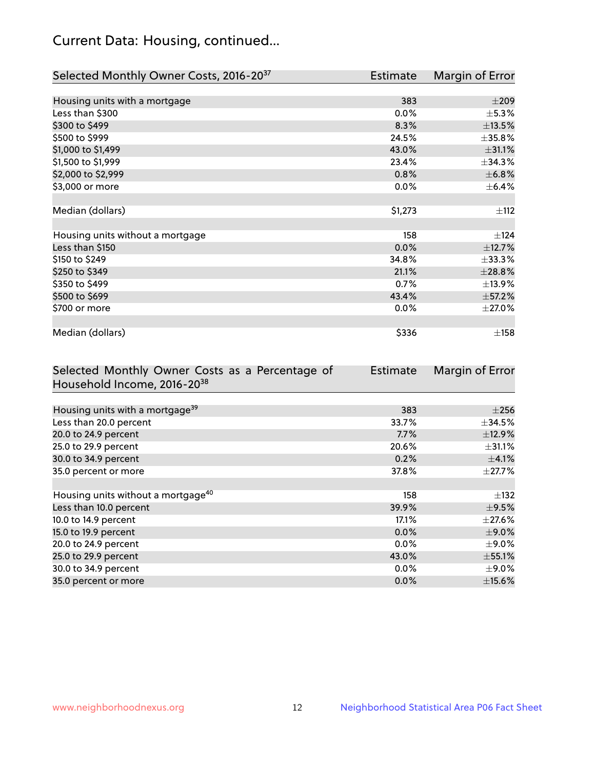# Current Data: Housing, continued...

| Selected Monthly Owner Costs, 2016-20 <sup>37</sup> | Estimate | Margin of Error |
|-----------------------------------------------------|----------|-----------------|
|                                                     |          |                 |
| Housing units with a mortgage                       | 383      | $\pm 209$       |
| Less than \$300                                     | 0.0%     | $\pm$ 5.3%      |
| \$300 to \$499                                      | 8.3%     | $\pm$ 13.5%     |
| \$500 to \$999                                      | 24.5%    | ±35.8%          |
| \$1,000 to \$1,499                                  | 43.0%    | ±31.1%          |
| \$1,500 to \$1,999                                  | 23.4%    | ±34.3%          |
| \$2,000 to \$2,999                                  | 0.8%     | $\pm$ 6.8%      |
| \$3,000 or more                                     | 0.0%     | $\pm$ 6.4%      |
|                                                     |          |                 |
| Median (dollars)                                    | \$1,273  | ±112            |
|                                                     |          |                 |
| Housing units without a mortgage                    | 158      | $\pm$ 124       |
| Less than \$150                                     | 0.0%     | ±12.7%          |
| \$150 to \$249                                      | 34.8%    | $\pm$ 33.3%     |
| \$250 to \$349                                      | 21.1%    | ±28.8%          |
| \$350 to \$499                                      | 0.7%     | ±13.9%          |
| \$500 to \$699                                      | 43.4%    | $\pm$ 57.2%     |
| \$700 or more                                       | 0.0%     | $\pm 27.0\%$    |
|                                                     |          |                 |
| Median (dollars)                                    | \$336    | ±158            |

| Selected Monthly Owner Costs as a Percentage of | Estimate | Margin of Error |
|-------------------------------------------------|----------|-----------------|
| Household Income, 2016-20 <sup>38</sup>         |          |                 |
|                                                 |          |                 |
| Housing units with a mortgage <sup>39</sup>     | 383      | $\pm 256$       |
| Less than 20.0 percent                          | 33.7%    | $\pm$ 34.5%     |
| 20.0 to 24.9 percent                            | 7.7%     | ±12.9%          |
| 25.0 to 29.9 percent                            | 20.6%    | $\pm$ 31.1%     |
| 30.0 to 34.9 percent                            | 0.2%     | $\pm$ 4.1%      |
| 35.0 percent or more                            | 37.8%    | $\pm$ 27.7%     |
|                                                 |          |                 |
| Housing units without a mortgage <sup>40</sup>  | 158      | $\pm$ 132       |
| Less than 10.0 percent                          | 39.9%    | $\pm$ 9.5%      |
| 10.0 to 14.9 percent                            | 17.1%    | $\pm 27.6\%$    |
| 15.0 to 19.9 percent                            | 0.0%     | $\pm$ 9.0%      |
| 20.0 to 24.9 percent                            | $0.0\%$  | $\pm$ 9.0%      |
| 25.0 to 29.9 percent                            | 43.0%    | ±55.1%          |
| 30.0 to 34.9 percent                            | $0.0\%$  | $\pm$ 9.0%      |
| 35.0 percent or more                            | 0.0%     | $\pm$ 15.6%     |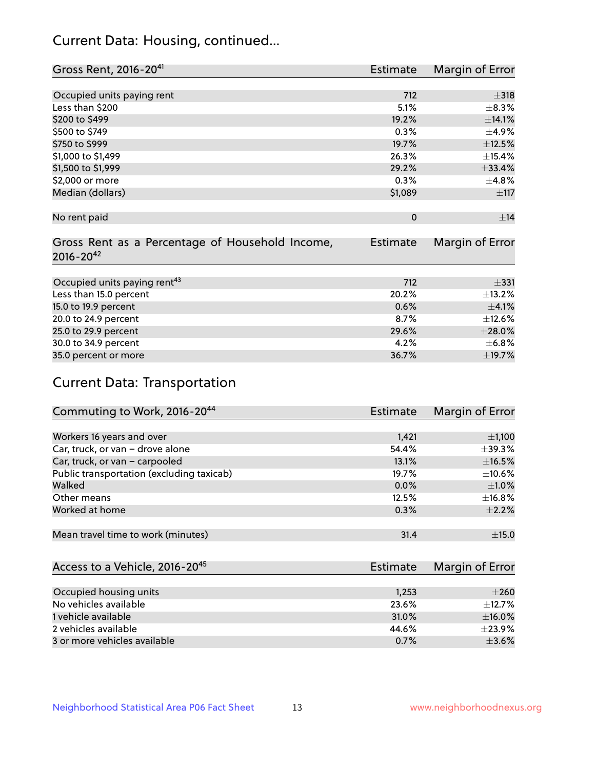# Current Data: Housing, continued...

| Gross Rent, 2016-20 <sup>41</sup>               | <b>Estimate</b> | Margin of Error |
|-------------------------------------------------|-----------------|-----------------|
|                                                 |                 |                 |
| Occupied units paying rent                      | 712             | $\pm$ 318       |
| Less than \$200                                 | 5.1%            | ±8.3%           |
| \$200 to \$499                                  | 19.2%           | ±14.1%          |
| \$500 to \$749                                  | 0.3%            | $\pm$ 4.9%      |
| \$750 to \$999                                  | 19.7%           | ±12.5%          |
| \$1,000 to \$1,499                              | 26.3%           | ±15.4%          |
| \$1,500 to \$1,999                              | 29.2%           | ±33.4%          |
| \$2,000 or more                                 | 0.3%            | ±4.8%           |
| Median (dollars)                                | \$1,089         | $\pm$ 117       |
|                                                 |                 |                 |
| No rent paid                                    | $\Omega$        | ±14             |
|                                                 |                 |                 |
| Gross Rent as a Percentage of Household Income, | <b>Estimate</b> | Margin of Error |
| $2016 - 20^{42}$                                |                 |                 |
|                                                 |                 |                 |
| Occupied units paying rent <sup>43</sup>        | 712             | $\pm$ 331       |
| Less than 15.0 percent                          | 20.2%           | ±13.2%          |
| 15.0 to 19.9 percent                            | 0.6%            | $\pm$ 4.1%      |
| 20.0 to 24.9 percent                            | 8.7%            | ±12.6%          |
| 25.0 to 29.9 percent                            | 29.6%           | $\pm 28.0\%$    |
| 30.0 to 34.9 percent                            | 4.2%            | ±6.8%           |
| 35.0 percent or more                            | 36.7%           | ±19.7%          |

# Current Data: Transportation

| Commuting to Work, 2016-20 <sup>44</sup>  | Estimate | Margin of Error |
|-------------------------------------------|----------|-----------------|
|                                           |          |                 |
| Workers 16 years and over                 | 1,421    | $\pm$ 1,100     |
| Car, truck, or van - drove alone          | 54.4%    | $\pm$ 39.3%     |
| Car, truck, or van - carpooled            | 13.1%    | $\pm$ 16.5%     |
| Public transportation (excluding taxicab) | 19.7%    | $\pm$ 10.6%     |
| Walked                                    | 0.0%     | $\pm1.0\%$      |
| Other means                               | 12.5%    | $\pm$ 16.8%     |
| Worked at home                            | 0.3%     | $\pm 2.2\%$     |
|                                           |          |                 |
| Mean travel time to work (minutes)        | 31.4     | ±15.0           |

| Access to a Vehicle, 2016-20 <sup>45</sup> | Estimate | Margin of Error |
|--------------------------------------------|----------|-----------------|
|                                            |          |                 |
| Occupied housing units                     | 1,253    | $\pm 260$       |
| No vehicles available                      | 23.6%    | $\pm$ 12.7%     |
| 1 vehicle available                        | 31.0%    | $\pm$ 16.0%     |
| 2 vehicles available                       | 44.6%    | $+23.9%$        |
| 3 or more vehicles available               | 0.7%     | $+3.6%$         |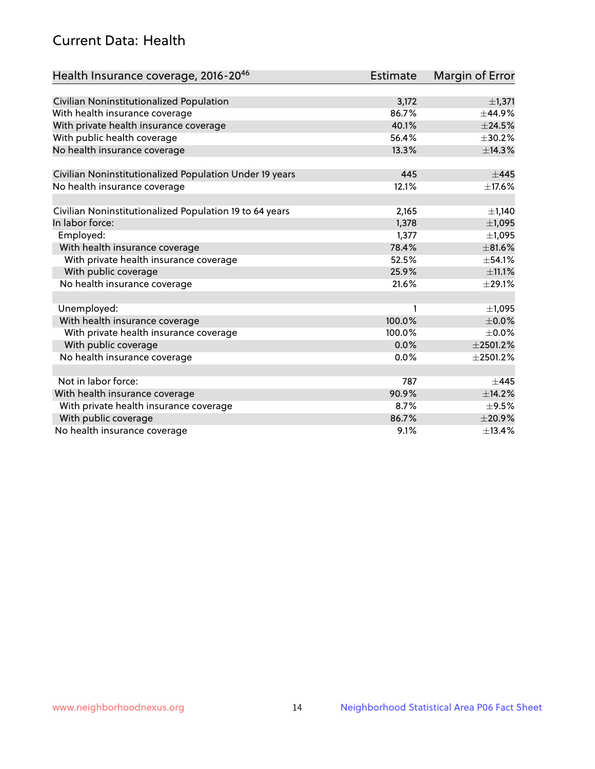# Current Data: Health

| Health Insurance coverage, 2016-2046                    | Estimate | <b>Margin of Error</b> |
|---------------------------------------------------------|----------|------------------------|
|                                                         |          |                        |
| Civilian Noninstitutionalized Population                | 3,172    | ±1,371                 |
| With health insurance coverage                          | 86.7%    | ±44.9%                 |
| With private health insurance coverage                  | 40.1%    | ±24.5%                 |
| With public health coverage                             | 56.4%    | ±30.2%                 |
| No health insurance coverage                            | 13.3%    | ±14.3%                 |
| Civilian Noninstitutionalized Population Under 19 years | 445      | ±445                   |
| No health insurance coverage                            | 12.1%    | ±17.6%                 |
|                                                         |          |                        |
| Civilian Noninstitutionalized Population 19 to 64 years | 2,165    | $\pm$ 1,140            |
| In labor force:                                         | 1,378    | ±1,095                 |
| Employed:                                               | 1,377    | ±1,095                 |
| With health insurance coverage                          | 78.4%    | $\pm$ 81.6%            |
| With private health insurance coverage                  | 52.5%    | ±54.1%                 |
| With public coverage                                    | 25.9%    | ±11.1%                 |
| No health insurance coverage                            | 21.6%    | $\pm 29.1\%$           |
|                                                         |          |                        |
| Unemployed:                                             | 1        | ±1,095                 |
| With health insurance coverage                          | 100.0%   | $\pm$ 0.0%             |
| With private health insurance coverage                  | 100.0%   | $\pm$ 0.0%             |
| With public coverage                                    | 0.0%     | $±$ 2501.2%            |
| No health insurance coverage                            | $0.0\%$  | $±$ 2501.2%            |
|                                                         |          |                        |
| Not in labor force:                                     | 787      | $+445$                 |
| With health insurance coverage                          | 90.9%    | ±14.2%                 |
| With private health insurance coverage                  | 8.7%     | $\pm$ 9.5%             |
| With public coverage                                    | 86.7%    | ±20.9%                 |
| No health insurance coverage                            | 9.1%     | ±13.4%                 |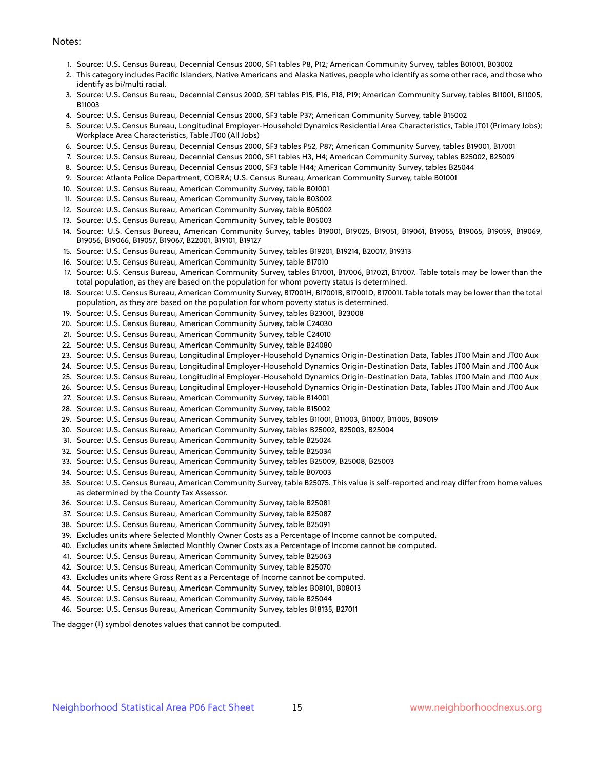#### Notes:

- 1. Source: U.S. Census Bureau, Decennial Census 2000, SF1 tables P8, P12; American Community Survey, tables B01001, B03002
- 2. This category includes Pacific Islanders, Native Americans and Alaska Natives, people who identify as some other race, and those who identify as bi/multi racial.
- 3. Source: U.S. Census Bureau, Decennial Census 2000, SF1 tables P15, P16, P18, P19; American Community Survey, tables B11001, B11005, B11003
- 4. Source: U.S. Census Bureau, Decennial Census 2000, SF3 table P37; American Community Survey, table B15002
- 5. Source: U.S. Census Bureau, Longitudinal Employer-Household Dynamics Residential Area Characteristics, Table JT01 (Primary Jobs); Workplace Area Characteristics, Table JT00 (All Jobs)
- 6. Source: U.S. Census Bureau, Decennial Census 2000, SF3 tables P52, P87; American Community Survey, tables B19001, B17001
- 7. Source: U.S. Census Bureau, Decennial Census 2000, SF1 tables H3, H4; American Community Survey, tables B25002, B25009
- 8. Source: U.S. Census Bureau, Decennial Census 2000, SF3 table H44; American Community Survey, tables B25044
- 9. Source: Atlanta Police Department, COBRA; U.S. Census Bureau, American Community Survey, table B01001
- 10. Source: U.S. Census Bureau, American Community Survey, table B01001
- 11. Source: U.S. Census Bureau, American Community Survey, table B03002
- 12. Source: U.S. Census Bureau, American Community Survey, table B05002
- 13. Source: U.S. Census Bureau, American Community Survey, table B05003
- 14. Source: U.S. Census Bureau, American Community Survey, tables B19001, B19025, B19051, B19061, B19055, B19065, B19059, B19069, B19056, B19066, B19057, B19067, B22001, B19101, B19127
- 15. Source: U.S. Census Bureau, American Community Survey, tables B19201, B19214, B20017, B19313
- 16. Source: U.S. Census Bureau, American Community Survey, table B17010
- 17. Source: U.S. Census Bureau, American Community Survey, tables B17001, B17006, B17021, B17007. Table totals may be lower than the total population, as they are based on the population for whom poverty status is determined.
- 18. Source: U.S. Census Bureau, American Community Survey, B17001H, B17001B, B17001D, B17001I. Table totals may be lower than the total population, as they are based on the population for whom poverty status is determined.
- 19. Source: U.S. Census Bureau, American Community Survey, tables B23001, B23008
- 20. Source: U.S. Census Bureau, American Community Survey, table C24030
- 21. Source: U.S. Census Bureau, American Community Survey, table C24010
- 22. Source: U.S. Census Bureau, American Community Survey, table B24080
- 23. Source: U.S. Census Bureau, Longitudinal Employer-Household Dynamics Origin-Destination Data, Tables JT00 Main and JT00 Aux
- 24. Source: U.S. Census Bureau, Longitudinal Employer-Household Dynamics Origin-Destination Data, Tables JT00 Main and JT00 Aux
- 25. Source: U.S. Census Bureau, Longitudinal Employer-Household Dynamics Origin-Destination Data, Tables JT00 Main and JT00 Aux
- 26. Source: U.S. Census Bureau, Longitudinal Employer-Household Dynamics Origin-Destination Data, Tables JT00 Main and JT00 Aux
- 27. Source: U.S. Census Bureau, American Community Survey, table B14001
- 28. Source: U.S. Census Bureau, American Community Survey, table B15002
- 29. Source: U.S. Census Bureau, American Community Survey, tables B11001, B11003, B11007, B11005, B09019
- 30. Source: U.S. Census Bureau, American Community Survey, tables B25002, B25003, B25004
- 31. Source: U.S. Census Bureau, American Community Survey, table B25024
- 32. Source: U.S. Census Bureau, American Community Survey, table B25034
- 33. Source: U.S. Census Bureau, American Community Survey, tables B25009, B25008, B25003
- 34. Source: U.S. Census Bureau, American Community Survey, table B07003
- 35. Source: U.S. Census Bureau, American Community Survey, table B25075. This value is self-reported and may differ from home values as determined by the County Tax Assessor.
- 36. Source: U.S. Census Bureau, American Community Survey, table B25081
- 37. Source: U.S. Census Bureau, American Community Survey, table B25087
- 38. Source: U.S. Census Bureau, American Community Survey, table B25091
- 39. Excludes units where Selected Monthly Owner Costs as a Percentage of Income cannot be computed.
- 40. Excludes units where Selected Monthly Owner Costs as a Percentage of Income cannot be computed.
- 41. Source: U.S. Census Bureau, American Community Survey, table B25063
- 42. Source: U.S. Census Bureau, American Community Survey, table B25070
- 43. Excludes units where Gross Rent as a Percentage of Income cannot be computed.
- 44. Source: U.S. Census Bureau, American Community Survey, tables B08101, B08013
- 45. Source: U.S. Census Bureau, American Community Survey, table B25044
- 46. Source: U.S. Census Bureau, American Community Survey, tables B18135, B27011

The dagger (†) symbol denotes values that cannot be computed.